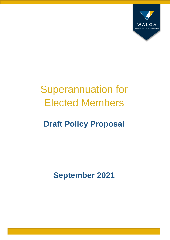

# Superannuation for Elected Members

# **Draft Policy Proposal**

**September 2021**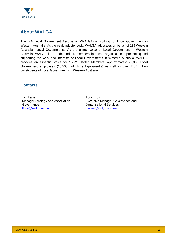

## <span id="page-1-0"></span>**About WALGA**

The WA Local Government Association (WALGA) is working for Local Government in Western Australia. As the peak industry body, WALGA advocates on behalf of 139 Western Australian Local Governments. As the united voice of Local Government in Western Australia, WALGA is an independent, membership-based organization representing and supporting the work and interests of Local Governments in Western Australia. WALGA provides an essential voice for 1,222 Elected Members, approximately 22,000 Local Government employees (16,500 Full Time Equivalent's) as well as over 2.67 million constituents of Local Governments in Western Australia.

#### <span id="page-1-1"></span>**Contacts**

Tim Lane Manager Strategy and Association **Governance** [tlane@walga.asn.au](mailto:tlane@walga.asn.au)

Tony Brown Executive Manager Governance and Organisational Services [tbrown@walga.asn.au](mailto:tbrown@walga.asn.au)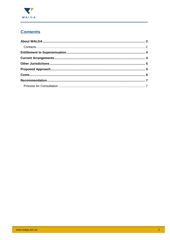

# **Contents**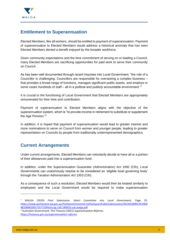

#### <span id="page-3-0"></span>**Entitlement to Superannuation**

Elected Members, like all workers, should be entitled to payment of superannuation. Payment of superannuation to Elected Members would address a historical anomaly that has seen Elected Members denied a benefit enjoyed by the broader workforce.

Given community expectations and the time commitment of serving on or leading a Council, many Elected Members are sacrificing opportunities for paid work to serve their community on Council.

As has been well documented through recent Inquiries into Local Government, "the role of a Councillor is challenging. Councillors are responsible for overseeing a complex business – that provides a broad range of functions, manages significant public assets, and employs in some cases hundreds of staff – all in a political and publicly accountable environment."<sup>1</sup>

It is crucial to the functioning of Local Government that Elected Members are appropriately remunerated for their time and contribution.

Payment of superannuation to Elected Members aligns with the objective of the superannuation system, which is "to provide income in retirement to substitute or supplement the Age Pension." 2

In addition, it is hoped that payment of superannuation would lead to greater interest and more nominations to serve on Council from women and younger people, leading to greater representation on Councils by people from traditionally underrepresented demographics.

### <span id="page-3-1"></span>**Current Arrangements**

Under current arrangements, Elected Members can voluntarily decide to have all or a portion of their allowances paid into a superannuation fund.

In addition, under the *Superannuation Guarantee (Administration) Act 1992* (Cth), Local Governments can unanimously resolve to be considered an 'eligible local governing body' through the *Taxation Administration Act 1953* (Cth).

As a consequence of such a resolution, Elected Members would then be treated similarly to employees and the Local Government would be required to make superannuation

-

<sup>1</sup> WALGA (2019) *Final Submission: Select Committee into Local Government.* Page 35. [https://www.parliament.wa.gov.au/Parliament/commit.nsf/luInquiryPublicSubmissions/DCCAD309ECAE29E0](https://www.parliament.wa.gov.au/Parliament/commit.nsf/luInquiryPublicSubmissions/DCCAD309ECAE29E04825848100171E77/$file/lo.lgi.150.190910.sub.walga.pdf) [4825848100171E77/\\$file/lo.lgi.150.190910.sub.walga.pdf](https://www.parliament.wa.gov.au/Parliament/commit.nsf/luInquiryPublicSubmissions/DCCAD309ECAE29E04825848100171E77/$file/lo.lgi.150.190910.sub.walga.pdf)

<sup>2</sup> Australian Government: The Treasury (2021) *Superannuation Reforms. <https://treasury.gov.au/superannuation-reforms>*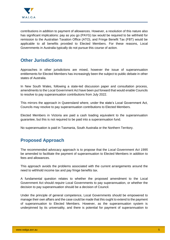

contributions in addition to payment of allowances. However, a resolution of this nature also has significant implications: pay as you go (PAYG) tax would be required to be withheld for remission to the Australian Taxation Office (ATO), and Fringe Benefit Tax (FBT) would be applicable to all benefits provided to Elected Members. For these reasons, Local Governments in Australia typically do not pursue this course of action.

#### <span id="page-4-0"></span>**Other Jurisdictions**

Approaches in other jurisdictions are mixed, however the issue of superannuation entitlements for Elected Members has increasingly been the subject to public debate in other states of Australia.

In New South Wales, following a state-led discussion paper and consultation process, amendments to the Local Government Act have been put forward that would enable Councils to resolve to pay superannuation contributions from July 2022.

This mirrors the approach in Queensland where, under the state's Local Government Act, Councils may resolve to pay superannuation contributions to Elected Members.

Elected Members in Victoria are paid a cash loading equivalent to the superannuation guarantee, but this is not required to be paid into a superannuation fund.

No superannuation is paid in Tasmania, South Australia or the Northern Territory.

### <span id="page-4-1"></span>**Proposed Approach**

The recommended advocacy approach is to propose that the *Local Government Act 1995* be amended to facilitate the payment of superannuation to Elected Members in addition to fees and allowances.

This approach avoids the problems associated with the current arrangements around the need to withhold income tax and pay fringe benefits tax.

A fundamental question relates to whether the proposed amendment to the Local Government Act should *require* Local Governments to pay superannuation, or whether the decision to pay superannuation should be a decision of Council.

Under the principle of general competence, Local Governments should be empowered to manage their own affairs and the case could be made that this ought to extend to the payment of superannuation to Elected Members. However, as the superannuation system is underpinned by its universality, and there is potential for payment of superannuation to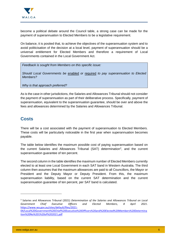

become a political debate around the Council table, a strong case can be made for the payment of superannuation to Elected Members to be a legislative requirement.

On balance, it is posited that, to achieve the objectives of the superannuation system and to avoid politicisation of the decision at a local level, payment of superannuation should be a universal entitlement for Elected Members and therefore a requirement of Local Governments contained in the Local Government Act.

*Feedback is sought from Members on this specific issue:*

*Should Local Governments be* enabled *or* required *to pay superannuation to Elected Members?*

*Why is that approach preferred?*

As is the case in other jurisdictions, the Salaries and Allowances Tribunal should not consider the payment of superannuation as part of their deliberative process. Specifically, payment of superannuation, equivalent to the superannuation guarantee, should be over and above the fees and allowances determined by the Salaries and Allowances Tribunal.

#### <span id="page-5-0"></span>**Costs**

There will be a cost associated with the payment of superannuation to Elected Members. These costs will be particularly noticeable in the first year when superannuation becomes payable.

The table below identifies the maximum possible cost of paying superannuation based on the current Salaries and Allowances Tribunal (SAT) determination<sup>3</sup>, and the current superannuation guarantee of ten percent.

The second column in the table identifies the maximum number of Elected Members currently elected to at least one Local Government in each SAT band in Western Australia. The third column then assumes that the maximum allowances are paid to all Councillors, the Mayor or President and the Deputy Mayor or Deputy President. From this, the maximum superannuation liability, based on the current SAT determination and the current superannuation guarantee of ten percent, per SAT band is calculated.

3 Salaries and Allowances Tribunal (2021) *Determination of the Salaries and Allowances Tribunal on Local Government Chief Executive Officers and Elected Members, 8 April 2021*. [https://www.wa.gov.au/sites/default/files/2021-](https://www.wa.gov.au/sites/default/files/2021-04/Local%20Government%20Chief%20Executive%20Officers%20and%20Elected%20Members%20Determination%20No%201%20of%202021.pdf)

-

[<sup>04/</sup>Local%20Government%20Chief%20Executive%20Officers%20and%20Elected%20Members%20Determina](https://www.wa.gov.au/sites/default/files/2021-04/Local%20Government%20Chief%20Executive%20Officers%20and%20Elected%20Members%20Determination%20No%201%20of%202021.pdf) [tion%20No%201%20of%202021.pdf](https://www.wa.gov.au/sites/default/files/2021-04/Local%20Government%20Chief%20Executive%20Officers%20and%20Elected%20Members%20Determination%20No%201%20of%202021.pdf)